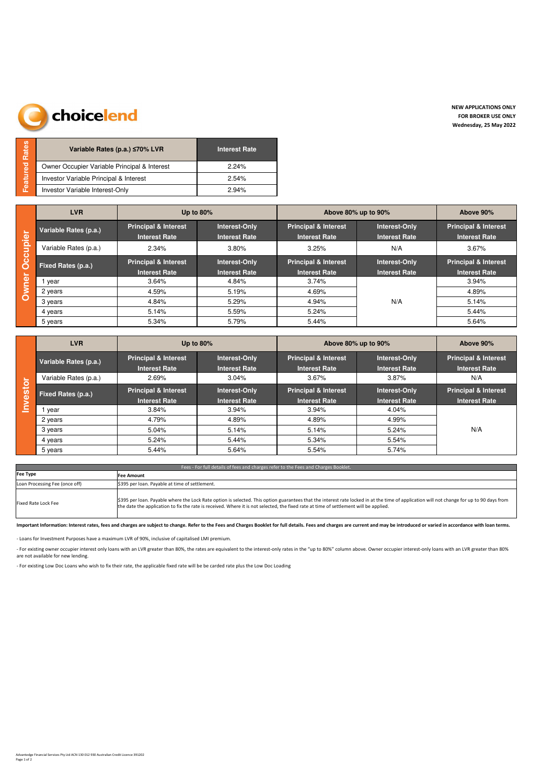## choicelend

| Rates    | Variable Rates (p.a.) ≤70% LVR               | <b>Interest Rate</b> |
|----------|----------------------------------------------|----------------------|
|          | Owner Occupier Variable Principal & Interest | 224%                 |
| Featured | Investor Variable Principal & Interest       | 2.54%                |
|          | Investor Variable Interest-Only              | 2.94%                |

|                   | <b>LVR</b>                | Up to $80\%$                                                                                     |                                       | Above 80% up to 90%                                     | Above 90%                             |                                                         |  |
|-------------------|---------------------------|--------------------------------------------------------------------------------------------------|---------------------------------------|---------------------------------------------------------|---------------------------------------|---------------------------------------------------------|--|
|                   | Variable Rates (p.a.)     | <b>Principal &amp; Interest</b><br>Interest-Only<br><b>Interest Rate</b><br><b>Interest Rate</b> |                                       | <b>Principal &amp; Interest</b><br><b>Interest Rate</b> | Interest-Only<br><b>Interest Rate</b> | <b>Principal &amp; Interest</b><br><b>Interest Rate</b> |  |
|                   | Variable Rates (p.a.)     | 2.34%                                                                                            | 3.80%                                 | 3.25%                                                   | N/A                                   | 3.67%                                                   |  |
| Occupier<br>Owner | <b>Fixed Rates (p.a.)</b> | <b>Principal &amp; Interest</b><br><b>Interest Rate</b>                                          | Interest-Only<br><b>Interest Rate</b> | <b>Principal &amp; Interest</b><br><b>Interest Rate</b> | Interest-Only<br><b>Interest Rate</b> | <b>Principal &amp; Interest</b><br><b>Interest Rate</b> |  |
|                   | year                      | 3.64%                                                                                            | 4.84%                                 | 3.74%                                                   |                                       | 3.94%                                                   |  |
|                   | 2 years                   | 4.59%                                                                                            | 5.19%                                 | 4.69%                                                   |                                       | 4.89%                                                   |  |
|                   | 3 years                   | 4.84%                                                                                            | 5.29%                                 | 4.94%                                                   | N/A                                   | 5.14%                                                   |  |
|                   | 4 years                   | 5.14%                                                                                            | 5.59%                                 | 5.24%                                                   |                                       | 5.44%                                                   |  |
|                   | 5 years                   | 5.34%                                                                                            | 5.79%                                 | 5.44%                                                   |                                       | 5.64%                                                   |  |

|            | <b>LVR</b>            | Up to $80\%$                                            |                                       | Above 80% up to 90%                                     | Above 90%                             |                                                         |  |
|------------|-----------------------|---------------------------------------------------------|---------------------------------------|---------------------------------------------------------|---------------------------------------|---------------------------------------------------------|--|
|            | Variable Rates (p.a.) | <b>Principal &amp; Interest</b><br><b>Interest Rate</b> | Interest-Only<br><b>Interest Rate</b> | <b>Principal &amp; Interest</b><br><b>Interest Rate</b> | Interest-Only<br><b>Interest Rate</b> | <b>Principal &amp; Interest</b><br><b>Interest Rate</b> |  |
|            | Variable Rates (p.a.) | 2.69%                                                   | 3.04%                                 | 3.67%                                                   | 3.87%                                 | N/A                                                     |  |
| estor<br>E | Fixed Rates (p.a.)    | <b>Principal &amp; Interest</b><br><b>Interest Rate</b> | Interest-Only<br><b>Interest Rate</b> | <b>Principal &amp; Interest</b><br><b>Interest Rate</b> | Interest-Only<br><b>Interest Rate</b> | <b>Principal &amp; Interest</b><br><b>Interest Rate</b> |  |
|            | year                  | 3.84%                                                   | 3.94%                                 | 3.94%                                                   | 4.04%                                 |                                                         |  |
|            | 2 years               | 4.79%                                                   | 4.89%                                 | 4.89%                                                   | 4.99%                                 |                                                         |  |
|            | 3 years               | 5.04%                                                   | 5.14%                                 | 5.14%                                                   | 5.24%                                 | N/A                                                     |  |
|            | 4 years               | 5.24%                                                   | 5.44%                                 | 5.34%                                                   | 5.54%                                 |                                                         |  |
|            | 5 years               | 5.44%                                                   | 5.64%                                 | 5.54%                                                   | 5.74%                                 |                                                         |  |

| Fees - For full details of fees and charges refer to the Fees and Charges Booklet. |                                                                                                                                                                                                                                                                                                                                    |  |  |  |  |  |  |
|------------------------------------------------------------------------------------|------------------------------------------------------------------------------------------------------------------------------------------------------------------------------------------------------------------------------------------------------------------------------------------------------------------------------------|--|--|--|--|--|--|
| <b>Fee Type</b><br>Fee Amount                                                      |                                                                                                                                                                                                                                                                                                                                    |  |  |  |  |  |  |
| Loan Processing Fee (once off)                                                     | \$395 per loan. Payable at time of settlement.                                                                                                                                                                                                                                                                                     |  |  |  |  |  |  |
| Fixed Rate Lock Fee                                                                | \$395 per loan. Payable where the Lock Rate option is selected. This option guarantees that the interest rate locked in at the time of application will not change for up to 90 days from<br>the date the application to fix the rate is received. Where it is not selected, the fixed rate at time of settlement will be applied. |  |  |  |  |  |  |

Important Information: Interest rates, fees and charges are subject to change. Refer to the Fees and Charges Booklet for full details. Fees and charges are current and may be introduced or varied in accordance with loan te

- Loans for Investment Purposes have a maximum LVR of 90%, inclusive of capitalised LMI premium.

- For existing owner occupier interest only loans with an LVR greater than 80%, the rates are equivalent to the interest-only rates in the "up to 80%" column above. Owner occupier interest-only loans with an LVR greater th are not available for new lending.

- For existing Low Doc Loans who wish to fix their rate, the applicable fixed rate will be be carded rate plus the Low Doc Loading